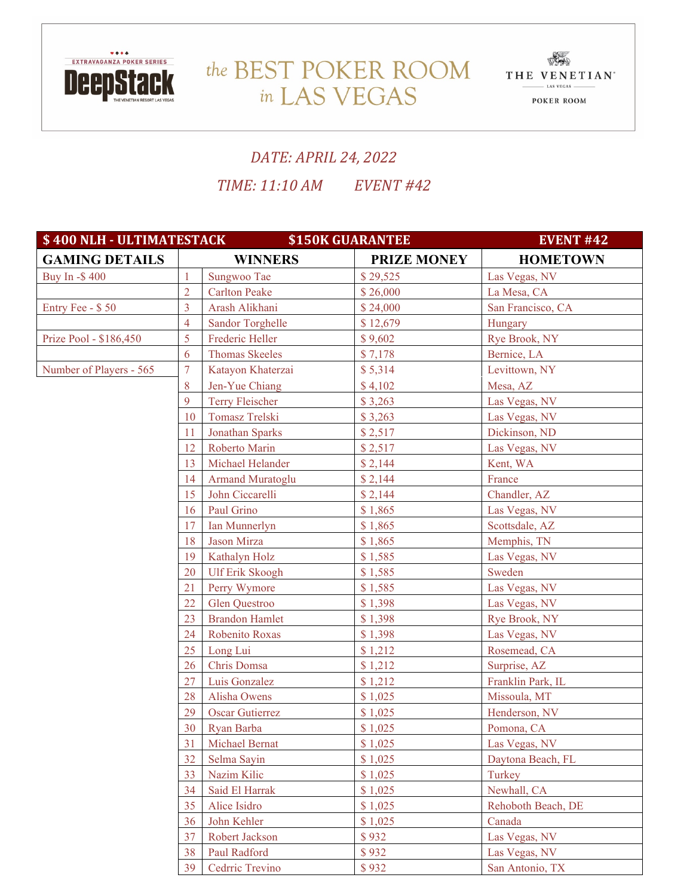

## the BEST POKER ROOM THE VENETIAN in LAS VEGAS



## *DATE: APRIL 24, 2022*

*TIME: 11:10 AM EVENT #42*

| \$400 NLH - ULTIMATESTACK |                | <b>\$150K GUARANTEE</b> | <b>EVENT #42</b>   |                    |
|---------------------------|----------------|-------------------------|--------------------|--------------------|
| <b>GAMING DETAILS</b>     |                | <b>WINNERS</b>          | <b>PRIZE MONEY</b> | <b>HOMETOWN</b>    |
| Buy In -\$400             | $\mathbf{1}$   | Sungwoo Tae             | \$29,525           | Las Vegas, NV      |
|                           | $\overline{2}$ | <b>Carlton Peake</b>    | \$26,000           | La Mesa, CA        |
| Entry Fee - \$50          | $\overline{3}$ | Arash Alikhani          | \$24,000           | San Francisco, CA  |
|                           | $\overline{4}$ | <b>Sandor Torghelle</b> | \$12,679           | Hungary            |
| Prize Pool - \$186,450    | 5              | Frederic Heller         | \$9,602            | Rye Brook, NY      |
|                           | 6              | <b>Thomas Skeeles</b>   | \$7,178            | Bernice, LA        |
| Number of Players - 565   | $\overline{7}$ | Katayon Khaterzai       | \$5,314            | Levittown, NY      |
|                           | 8              | Jen-Yue Chiang          | \$4,102            | Mesa, AZ           |
|                           | 9              | <b>Terry Fleischer</b>  | \$3,263            | Las Vegas, NV      |
|                           | 10             | Tomasz Trelski          | \$3,263            | Las Vegas, NV      |
|                           | 11             | Jonathan Sparks         | \$2,517            | Dickinson, ND      |
|                           | 12             | Roberto Marin           | \$2,517            | Las Vegas, NV      |
|                           | 13             | Michael Helander        | \$2,144            | Kent, WA           |
|                           | 14             | <b>Armand Muratoglu</b> | \$2,144            | France             |
|                           | 15             | John Ciccarelli         | \$2,144            | Chandler, AZ       |
|                           | 16             | Paul Grino              | \$1,865            | Las Vegas, NV      |
|                           | 17             | Ian Munnerlyn           | \$1,865            | Scottsdale, AZ     |
|                           | 18             | Jason Mirza             | \$1,865            | Memphis, TN        |
|                           | 19             | Kathalyn Holz           | \$1,585            | Las Vegas, NV      |
|                           | 20             | <b>Ulf Erik Skoogh</b>  | \$1,585            | Sweden             |
|                           | 21             | Perry Wymore            | \$1,585            | Las Vegas, NV      |
|                           | 22             | Glen Questroo           | \$1,398            | Las Vegas, NV      |
|                           | 23             | <b>Brandon Hamlet</b>   | \$1,398            | Rye Brook, NY      |
|                           | 24             | Robenito Roxas          | \$1,398            | Las Vegas, NV      |
|                           | 25             | Long Lui                | \$1,212            | Rosemead, CA       |
|                           | 26             | Chris Domsa             | \$1,212            | Surprise, AZ       |
|                           | 27             | Luis Gonzalez           | \$1,212            | Franklin Park, IL  |
|                           | 28             | Alisha Owens            | \$1,025            | Missoula, MT       |
|                           | 29             | <b>Oscar Gutierrez</b>  | \$1,025            | Henderson, NV      |
|                           | 30             | Ryan Barba              | \$1,025            | Pomona, CA         |
|                           | 31             | Michael Bernat          | \$1,025            | Las Vegas, NV      |
|                           | 32             | Selma Sayin             | \$1,025            | Daytona Beach, FL  |
|                           | 33             | Nazim Kilic             | \$1,025            | Turkey             |
|                           | 34             | Said El Harrak          | \$1,025            | Newhall, CA        |
|                           |                | Alice Isidro            | \$1,025            | Rehoboth Beach, DE |
|                           | 36             | John Kehler             | \$1,025            | Canada             |
|                           | 37             | Robert Jackson          | \$932              | Las Vegas, NV      |
|                           | 38             | Paul Radford            | \$932              | Las Vegas, NV      |
|                           | 39             | Cedrric Trevino         | \$932              | San Antonio, TX    |